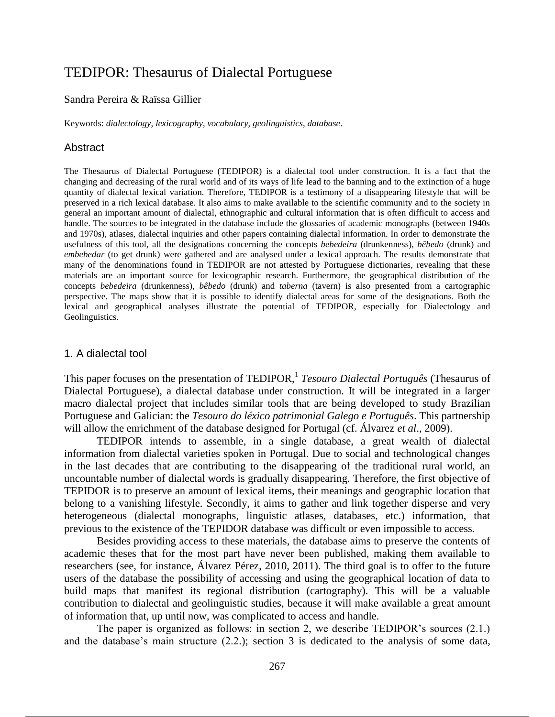# TEDIPOR: Thesaurus of Dialectal Portuguese

#### Sandra Pereira & Raïssa Gillier

Keywords: *dialectology*, *lexicography*, *vocabulary*, *geolinguistics*, *database*.

#### Abstract

The Thesaurus of Dialectal Portuguese (TEDIPOR) is a dialectal tool under construction. It is a fact that the changing and decreasing of the rural world and of its ways of life lead to the banning and to the extinction of a huge quantity of dialectal lexical variation. Therefore, TEDIPOR is a testimony of a disappearing lifestyle that will be preserved in a rich lexical database. It also aims to make available to the scientific community and to the society in general an important amount of dialectal, ethnographic and cultural information that is often difficult to access and handle. The sources to be integrated in the database include the glossaries of academic monographs (between 1940s and 1970s), atlases, dialectal inquiries and other papers containing dialectal information. In order to demonstrate the usefulness of this tool, all the designations concerning the concepts *bebedeira* (drunkenness), *bêbedo* (drunk) and *embebedar* (to get drunk) were gathered and are analysed under a lexical approach. The results demonstrate that many of the denominations found in TEDIPOR are not attested by Portuguese dictionaries, revealing that these materials are an important source for lexicographic research. Furthermore, the geographical distribution of the concepts *bebedeira* (drunkenness), *bêbedo* (drunk) and *taberna* (tavern) is also presented from a cartographic perspective. The maps show that it is possible to identify dialectal areas for some of the designations. Both the lexical and geographical analyses illustrate the potential of TEDIPOR, especially for Dialectology and Geolinguistics.

#### 1. A dialectal tool

This paper focuses on the presentation of TEDIPOR,<sup>1</sup> Tesouro Dialectal Português (Thesaurus of Dialectal Portuguese), a dialectal database under construction. It will be integrated in a larger macro dialectal project that includes similar tools that are being developed to study Brazilian Portuguese and Galician: the *Tesouro do léxico patrimonial Galego e Português*. This partnership will allow the enrichment of the database designed for Portugal (cf. Álvarez *et al*., 2009).

TEDIPOR intends to assemble, in a single database, a great wealth of dialectal information from dialectal varieties spoken in Portugal. Due to social and technological changes in the last decades that are contributing to the disappearing of the traditional rural world, an uncountable number of dialectal words is gradually disappearing. Therefore, the first objective of TEPIDOR is to preserve an amount of lexical items, their meanings and geographic location that belong to a vanishing lifestyle. Secondly, it aims to gather and link together disperse and very heterogeneous (dialectal monographs, linguistic atlases, databases, etc.) information, that previous to the existence of the TEPIDOR database was difficult or even impossible to access.

Besides providing access to these materials, the database aims to preserve the contents of academic theses that for the most part have never been published, making them available to researchers (see, for instance, Álvarez Pérez, 2010, 2011). The third goal is to offer to the future users of the database the possibility of accessing and using the geographical location of data to build maps that manifest its regional distribution (cartography). This will be a valuable contribution to dialectal and geolinguistic studies, because it will make available a great amount of information that, up until now, was complicated to access and handle.

The paper is organized as follows: in section 2, we describe TEDIPOR's sources (2.1.) and the database's main structure (2.2.); section 3 is dedicated to the analysis of some data,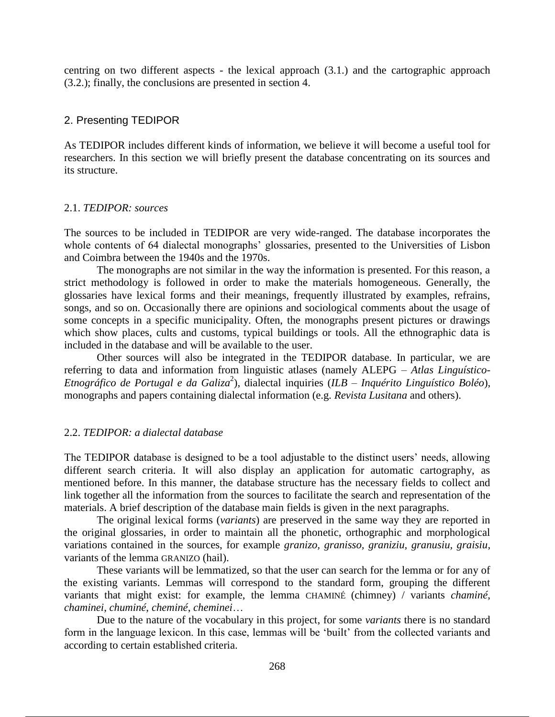centring on two different aspects - the lexical approach (3.1.) and the cartographic approach (3.2.); finally, the conclusions are presented in section 4.

## 2. Presenting TEDIPOR

As TEDIPOR includes different kinds of information, we believe it will become a useful tool for researchers. In this section we will briefly present the database concentrating on its sources and its structure.

## 2.1. *TEDIPOR: sources*

The sources to be included in TEDIPOR are very wide-ranged. The database incorporates the whole contents of 64 dialectal monographs' glossaries, presented to the Universities of Lisbon and Coimbra between the 1940s and the 1970s.

The monographs are not similar in the way the information is presented. For this reason, a strict methodology is followed in order to make the materials homogeneous. Generally, the glossaries have lexical forms and their meanings, frequently illustrated by examples, refrains, songs, and so on. Occasionally there are opinions and sociological comments about the usage of some concepts in a specific municipality. Often, the monographs present pictures or drawings which show places, cults and customs, typical buildings or tools. All the ethnographic data is included in the database and will be available to the user.

Other sources will also be integrated in the TEDIPOR database. In particular, we are referring to data and information from linguistic atlases (namely ALEPG – *Atlas Linguístico-Etnográfico de Portugal e da Galiza*<sup>2</sup> ), dialectal inquiries (*ILB – Inquérito Linguístico Boléo*), monographs and papers containing dialectal information (e.g. *Revista Lusitana* and others).

# 2.2. *TEDIPOR: a dialectal database*

The TEDIPOR database is designed to be a tool adjustable to the distinct users' needs, allowing different search criteria. It will also display an application for automatic cartography, as mentioned before. In this manner, the database structure has the necessary fields to collect and link together all the information from the sources to facilitate the search and representation of the materials. A brief description of the database main fields is given in the next paragraphs.

The original lexical forms (*variants*) are preserved in the same way they are reported in the original glossaries, in order to maintain all the phonetic, orthographic and morphological variations contained in the sources, for example *granizo, granisso, graniziu, granusiu, graisiu*, variants of the lemma GRANIZO (hail).

These variants will be lemmatized, so that the user can search for the lemma or for any of the existing variants. Lemmas will correspond to the standard form, grouping the different variants that might exist: for example, the lemma CHAMINÉ (chimney) / variants *chaminé*, *chaminei*, *chuminé*, *cheminé*, *cheminei*…

Due to the nature of the vocabulary in this project, for some *variants* there is no standard form in the language lexicon. In this case, lemmas will be 'built' from the collected variants and according to certain established criteria.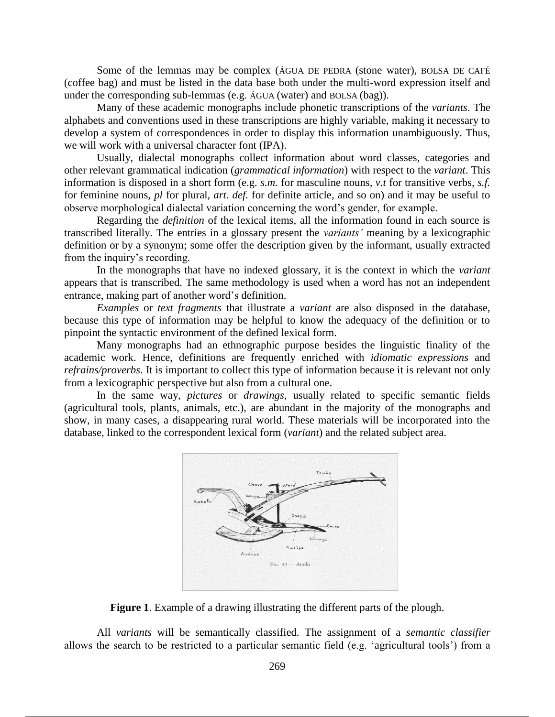Some of the lemmas may be complex (ÁGUA DE PEDRA (stone water), BOLSA DE CAFÉ (coffee bag) and must be listed in the data base both under the multi-word expression itself and under the corresponding sub-lemmas (e.g. ÁGUA (water) and BOLSA (bag)).

Many of these academic monographs include phonetic transcriptions of the *variants*. The alphabets and conventions used in these transcriptions are highly variable, making it necessary to develop a system of correspondences in order to display this information unambiguously. Thus, we will work with a universal character font (IPA).

Usually, dialectal monographs collect information about word classes, categories and other relevant grammatical indication (*grammatical information*) with respect to the *variant*. This information is disposed in a short form (e.g. *s.m.* for masculine nouns*, v.t* for transitive verbs*, s.f.* for feminine nouns, *pl* for plural*, art. def.* for definite article*,* and so on) and it may be useful to observe morphological dialectal variation concerning the word's gender, for example.

Regarding the *definition* of the lexical items, all the information found in each source is transcribed literally. The entries in a glossary present the *variants'* meaning by a lexicographic definition or by a synonym; some offer the description given by the informant, usually extracted from the inquiry's recording.

In the monographs that have no indexed glossary, it is the context in which the *variant* appears that is transcribed. The same methodology is used when a word has not an independent entrance, making part of another word's definition.

*Examples* or *text fragments* that illustrate a *variant* are also disposed in the database, because this type of information may be helpful to know the adequacy of the definition or to pinpoint the syntactic environment of the defined lexical form.

Many monographs had an ethnographic purpose besides the linguistic finality of the academic work. Hence, definitions are frequently enriched with *idiomatic expressions* and *refrains/proverbs*. It is important to collect this type of information because it is relevant not only from a lexicographic perspective but also from a cultural one.

In the same way, *pictures* or *drawings*, usually related to specific semantic fields (agricultural tools, plants, animals, etc.), are abundant in the majority of the monographs and show, in many cases, a disappearing rural world. These materials will be incorporated into the database, linked to the correspondent lexical form (*variant*) and the related subject area.



**Figure 1**. Example of a drawing illustrating the different parts of the plough.

All *variants* will be semantically classified. The assignment of a *semantic classifier* allows the search to be restricted to a particular semantic field (e.g. 'agricultural tools') from a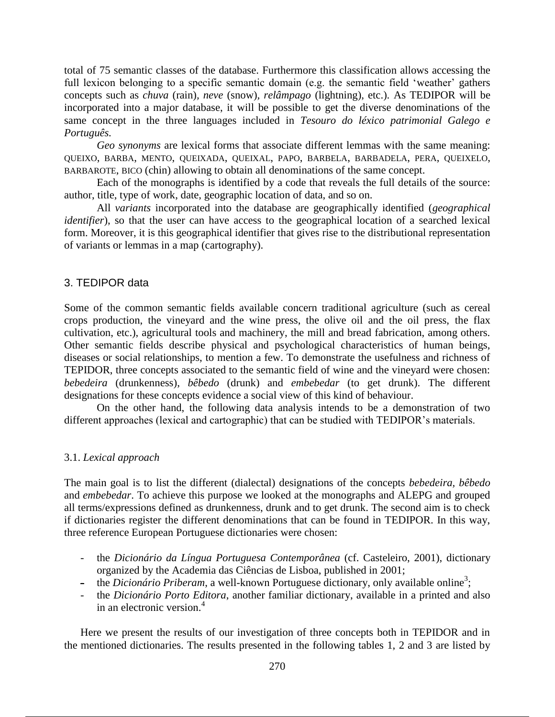total of 75 semantic classes of the database. Furthermore this classification allows accessing the full lexicon belonging to a specific semantic domain (e.g. the semantic field 'weather' gathers concepts such as *chuva* (rain)*, neve* (snow)*, relâmpago* (lightning), etc.). As TEDIPOR will be incorporated into a major database, it will be possible to get the diverse denominations of the same concept in the three languages included in *Tesouro do léxico patrimonial Galego e Português.* 

*Geo synonyms* are lexical forms that associate different lemmas with the same meaning: QUEIXO, BARBA, MENTO, QUEIXADA, QUEIXAL, PAPO, BARBELA, BARBADELA, PERA, QUEIXELO, BARBAROTE, BICO (chin) allowing to obtain all denominations of the same concept.

Each of the monographs is identified by a code that reveals the full details of the source: author, title, type of work, date, geographic location of data, and so on.

All *variants* incorporated into the database are geographically identified (*geographical identifier*), so that the user can have access to the geographical location of a searched lexical form. Moreover, it is this geographical identifier that gives rise to the distributional representation of variants or lemmas in a map (cartography).

## 3. TEDIPOR data

Some of the common semantic fields available concern traditional agriculture (such as cereal crops production, the vineyard and the wine press, the olive oil and the oil press, the flax cultivation, etc.), agricultural tools and machinery, the mill and bread fabrication, among others. Other semantic fields describe physical and psychological characteristics of human beings, diseases or social relationships, to mention a few. To demonstrate the usefulness and richness of TEPIDOR, three concepts associated to the semantic field of wine and the vineyard were chosen: *bebedeira* (drunkenness), *bêbedo* (drunk) and *embebedar* (to get drunk). The different designations for these concepts evidence a social view of this kind of behaviour.

On the other hand, the following data analysis intends to be a demonstration of two different approaches (lexical and cartographic) that can be studied with TEDIPOR's materials.

## 3.1. *Lexical approach*

The main goal is to list the different (dialectal) designations of the concepts *bebedeira, bêbedo*  and *embebedar*. To achieve this purpose we looked at the monographs and ALEPG and grouped all terms/expressions defined as drunkenness, drunk and to get drunk. The second aim is to check if dictionaries register the different denominations that can be found in TEDIPOR. In this way, three reference European Portuguese dictionaries were chosen:

- the *Dicionário da Língua Portuguesa Contemporânea* (cf. Casteleiro, 2001), dictionary organized by the Academia das Ciências de Lisboa, published in 2001;
- <sup>-</sup> the *Dicionário Priberam*, a well-known Portuguese dictionary, only available online<sup>3</sup>;
- the *Dicionário Porto Editora*, another familiar dictionary, available in a printed and also in an electronic version. 4

Here we present the results of our investigation of three concepts both in TEPIDOR and in the mentioned dictionaries. The results presented in the following tables 1, 2 and 3 are listed by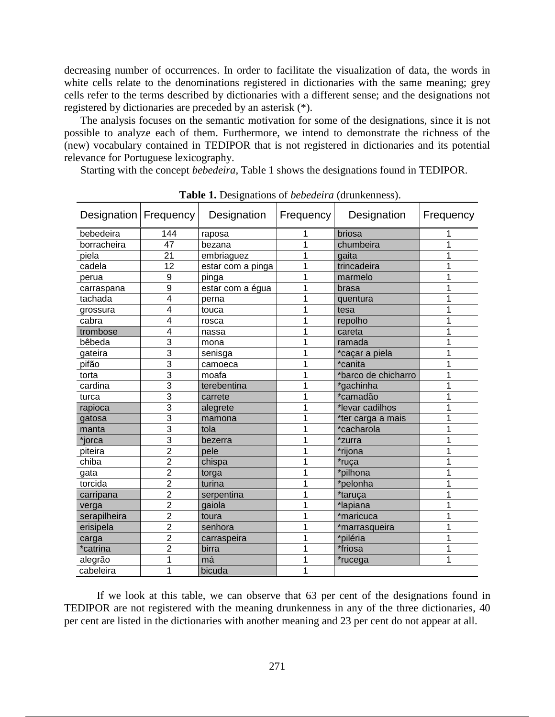decreasing number of occurrences. In order to facilitate the visualization of data, the words in white cells relate to the denominations registered in dictionaries with the same meaning; grey cells refer to the terms described by dictionaries with a different sense; and the designations not registered by dictionaries are preceded by an asterisk (\*).

The analysis focuses on the semantic motivation for some of the designations, since it is not possible to analyze each of them. Furthermore, we intend to demonstrate the richness of the (new) vocabulary contained in TEDIPOR that is not registered in dictionaries and its potential relevance for Portuguese lexicography.

Starting with the concept *bebedeira*, Table 1 shows the designations found in TEDIPOR.

| <b>rapic 1.</b> Designations of <i>bebearing</i> (diumentess). |                |                   |                  |                     |           |  |  |
|----------------------------------------------------------------|----------------|-------------------|------------------|---------------------|-----------|--|--|
| Designation   Frequency                                        |                | Designation       | <b>Frequency</b> | Designation         | Frequency |  |  |
| bebedeira                                                      | 144            | raposa            |                  | briosa              |           |  |  |
| borracheira                                                    | 47             | bezana            | 1                | chumbeira           |           |  |  |
| piela                                                          | 21             | embriaguez        | 1                | gaita               |           |  |  |
| cadela                                                         | 12             | estar com a pinga | 1                | trincadeira         |           |  |  |
| perua                                                          | 9              | pinga             | 1                | marmelo             |           |  |  |
| carraspana                                                     | 9              | estar com a égua  | 1                | brasa               |           |  |  |
| tachada                                                        | 4              | perna             | 1                | quentura            |           |  |  |
| grossura                                                       | 4              | touca             |                  | tesa                |           |  |  |
| cabra                                                          | 4              | rosca             | 1                | repolho             |           |  |  |
| trombose                                                       | 4              | nassa             | 1                | careta              |           |  |  |
| bêbeda                                                         | 3              | mona              | 1                | ramada              |           |  |  |
| gateira                                                        | 3              | senisga           | 1                | *caçar a piela      |           |  |  |
| pifão                                                          | 3              | camoeca           | 1                | *canita             |           |  |  |
| torta                                                          | 3              | moafa             | 1                | *barco de chicharro |           |  |  |
| cardina                                                        | 3              | terebentina       | 1                | *gachinha           |           |  |  |
| turca                                                          | $\overline{3}$ | carrete           | 1                | *camadão            |           |  |  |
| rapioca                                                        | $\overline{3}$ | alegrete          | 1                | *levar cadilhos     |           |  |  |
| gatosa                                                         | 3              | mamona            | 1                | *ter carga a mais   |           |  |  |
| manta                                                          | 3              | tola              | 1                | *cacharola          |           |  |  |
| *jorca                                                         | $\overline{3}$ | bezerra           | 1                | *zurra              |           |  |  |
| piteira                                                        | $\overline{2}$ | pele              | 1                | *rijona             |           |  |  |
| chiba                                                          | $\overline{2}$ | chispa            | 1                | *ruça               |           |  |  |
| gata                                                           | $\overline{2}$ | torga             | 1                | *pilhona            |           |  |  |
| torcida                                                        | $\overline{2}$ | turina            |                  | *pelonha            |           |  |  |
| carripana                                                      | $\overline{2}$ | serpentina        | 1                | *taruça             |           |  |  |
| verga                                                          | $\overline{2}$ | gaiola            | 1                | *lapiana            |           |  |  |
| serapilheira                                                   | $\overline{2}$ | toura             | 1                | *maricuca           |           |  |  |
| erisipela                                                      | $\overline{2}$ | senhora           | 1                | *marrasqueira       |           |  |  |
| carga                                                          | $\overline{2}$ | carraspeira       | 1                | *piléria            |           |  |  |
| *catrina                                                       | $\overline{2}$ | birra             | 1                | *friosa             |           |  |  |
| alegrão                                                        | 1              | má                | 1                | *rucega             |           |  |  |
| cabeleira                                                      | 1              | bicuda            | 1                |                     |           |  |  |

**Table 1.** Designations of *bebedeira* (drunkenness).

If we look at this table, we can observe that 63 per cent of the designations found in TEDIPOR are not registered with the meaning drunkenness in any of the three dictionaries, 40 per cent are listed in the dictionaries with another meaning and 23 per cent do not appear at all.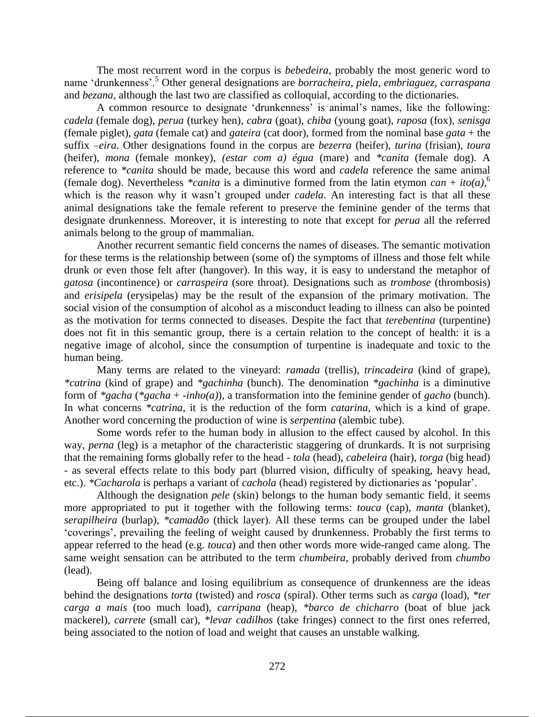The most recurrent word in the corpus is *bebedeira*, probably the most generic word to name 'drunkenness'.<sup>5</sup> Other general designations are *borracheira*, *piela*, *embriaguez*, *carraspana* and *bezana*, although the last two are classified as colloquial, according to the dictionaries.

A common resource to designate 'drunkenness' is animal's names, like the following: *cadela* (female dog), *perua* (turkey hen), *cabra* (goat), *chiba* (young goat), *raposa* (fox), *senisga* (female piglet), *gata* (female cat) and *gateira* (cat door), formed from the nominal base *gata* + the suffix –*eira*. Other designations found in the corpus are *bezerra* (heifer), *turina* (frisian), *toura* (heifer), *mona* (female monkey), *(estar com a) égua* (mare) and *\*canita* (female dog). A reference to *\*canita* should be made, because this word and *cadela* reference the same animal (female dog). Nevertheless *\*canita* is a diminutive formed from the latin etymon  $can + ito(a)$ <sup>6</sup> which is the reason why it wasn't grouped under *cadela*. An interesting fact is that all these animal designations take the female referent to preserve the feminine gender of the terms that designate drunkenness. Moreover, it is interesting to note that except for *perua* all the referred animals belong to the group of mammalian.

Another recurrent semantic field concerns the names of diseases. The semantic motivation for these terms is the relationship between (some of) the symptoms of illness and those felt while drunk or even those felt after (hangover). In this way, it is easy to understand the metaphor of *gatosa* (incontinence) or *carraspeira* (sore throat). Designations such as *trombose* (thrombosis) and *erisipela* (erysipelas) may be the result of the expansion of the primary motivation. The social vision of the consumption of alcohol as a misconduct leading to illness can also be pointed as the motivation for terms connected to diseases. Despite the fact that *terebentina* (turpentine) does not fit in this semantic group, there is a certain relation to the concept of health: it is a negative image of alcohol, since the consumption of turpentine is inadequate and toxic to the human being.

Many terms are related to the vineyard: *ramada* (trellis), *trincadeira* (kind of grape), *\*catrina* (kind of grape) and *\*gachinha* (bunch). The denomination *\*gachinha* is a diminutive form of *\*gacha* (*\*gacha* + -*inho(a)*), a transformation into the feminine gender of *gacho* (bunch). In what concerns *\*catrina*, it is the reduction of the form *catarina*, which is a kind of grape. Another word concerning the production of wine is *serpentina* (alembic tube).

Some words refer to the human body in allusion to the effect caused by alcohol. In this way, *perna* (leg) is a metaphor of the characteristic staggering of drunkards. It is not surprising that the remaining forms globally refer to the head - *tola* (head), *cabeleira* (hair), *torga* (big head) - as several effects relate to this body part (blurred vision, difficulty of speaking, heavy head, etc.). *\*Cacharola* is perhaps a variant of *cachola* (head) registered by dictionaries as 'popular'.

Although the designation *pele* (skin) belongs to the human body semantic field, it seems more appropriated to put it together with the following terms: *touca* (cap), *manta* (blanket), *serapilheira* (burlap), *\*camadão* (thick layer). All these terms can be grouped under the label 'coverings', prevailing the feeling of weight caused by drunkenness. Probably the first terms to appear referred to the head (e.g. *touca*) and then other words more wide-ranged came along. The same weight sensation can be attributed to the term *chumbeira*, probably derived from *chumbo* (lead).

Being off balance and losing equilibrium as consequence of drunkenness are the ideas behind the designations *torta* (twisted) and *rosca* (spiral). Other terms such as *carga* (load), *\*ter carga a mais* (too much load), *carripana* (heap), *\*barco de chicharro* (boat of blue jack mackerel), *carrete* (small car), *\*levar cadilhos* (take fringes) connect to the first ones referred, being associated to the notion of load and weight that causes an unstable walking.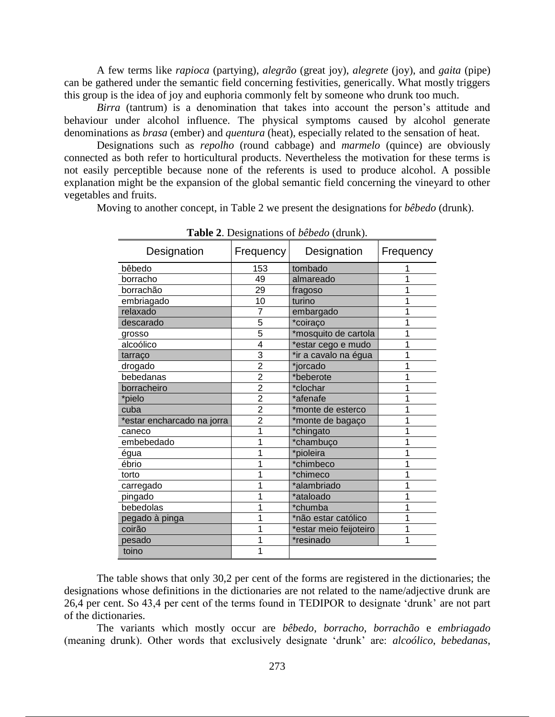A few terms like *rapioca* (partying), *alegrão* (great joy), *alegrete* (joy), and *gaita* (pipe) can be gathered under the semantic field concerning festivities, generically. What mostly triggers this group is the idea of joy and euphoria commonly felt by someone who drunk too much.

*Birra* (tantrum) is a denomination that takes into account the person's attitude and behaviour under alcohol influence. The physical symptoms caused by alcohol generate denominations as *brasa* (ember) and *quentura* (heat), especially related to the sensation of heat.

Designations such as *repolho* (round cabbage) and *marmelo* (quince) are obviously connected as both refer to horticultural products. Nevertheless the motivation for these terms is not easily perceptible because none of the referents is used to produce alcohol. A possible explanation might be the expansion of the global semantic field concerning the vineyard to other vegetables and fruits.

Moving to another concept, in Table 2 we present the designations for *bêbedo* (drunk).

| Designation                | Frequency      | Designation            | Frequency |
|----------------------------|----------------|------------------------|-----------|
| bêbedo                     | 153            | tombado                |           |
| borracho                   | 49             | almareado              |           |
| borrachão                  | 29             | fragoso                |           |
| embriagado                 | 10             | turino                 |           |
| relaxado                   | $\overline{7}$ | embargado              |           |
| descarado                  | 5              | *coiraco               |           |
| grosso                     | 5              | *mosquito de cartola   |           |
| alcoólico                  | 4              | *estar cego e mudo     |           |
| tarraço                    | 3              | *ir a cavalo na égua   |           |
| drogado                    | $\overline{2}$ | *jorcado               | 1         |
| bebedanas                  | $\overline{2}$ | *beberote              |           |
| borracheiro                | $\overline{2}$ | *clochar               |           |
| *pielo                     | $\overline{2}$ | *afenafe               |           |
| cuba                       | $\overline{2}$ | *monte de esterco      |           |
| *estar encharcado na jorra | $\overline{2}$ | *monte de bagaço       | 1         |
| caneco                     |                | *chingato              |           |
| embebedado                 |                | *chambuço              |           |
| égua                       |                | *pioleira              |           |
| ébrio                      |                | *chimbeco              |           |
| torto                      |                | *chimeco               |           |
| carregado                  |                | *alambriado            |           |
| pingado                    |                | *ataloado              |           |
| bebedolas                  |                | *chumba                |           |
| pegado à pinga             |                | *não estar católico    |           |
| coirão                     |                | *estar meio feijoteiro |           |
| pesado                     |                | *resinado              | 1         |
| toino                      |                |                        |           |

**Table 2**. Designations of *bêbedo* (drunk).

The table shows that only 30,2 per cent of the forms are registered in the dictionaries; the designations whose definitions in the dictionaries are not related to the name/adjective drunk are 26,4 per cent. So 43,4 per cent of the terms found in TEDIPOR to designate 'drunk' are not part of the dictionaries.

The variants which mostly occur are *bêbedo*, *borracho*, *borrachão* e *embriagado* (meaning drunk). Other words that exclusively designate 'drunk' are: *alcoólico*, *bebedanas*,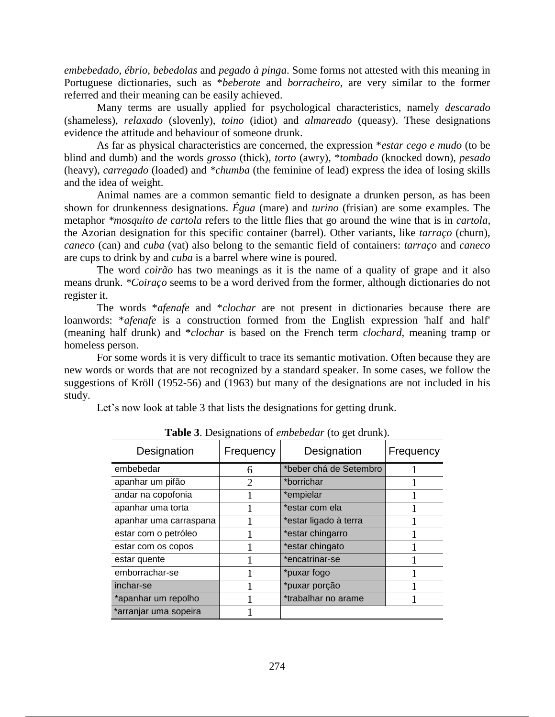*embebedado*, *ébrio*, *bebedolas* and *pegado à pinga*. Some forms not attested with this meaning in Portuguese dictionaries, such as \**beberote* and *borracheiro*, are very similar to the former referred and their meaning can be easily achieved.

Many terms are usually applied for psychological characteristics, namely *descarado* (shameless), *relaxado* (slovenly), *toino* (idiot) and *almareado* (queasy). These designations evidence the attitude and behaviour of someone drunk.

As far as physical characteristics are concerned, the expression \**estar cego e mudo* (to be blind and dumb) and the words *grosso* (thick), *torto* (awry), \**tombado* (knocked down), *pesado* (heavy), *carregado* (loaded) and *\*chumba* (the feminine of lead) express the idea of losing skills and the idea of weight.

Animal names are a common semantic field to designate a drunken person, as has been shown for drunkenness designations. *Égua* (mare) and *turino* (frisian) are some examples. The metaphor *\*mosquito de cartola* refers to the little flies that go around the wine that is in *cartola*, the Azorian designation for this specific container (barrel). Other variants, like *tarraço* (churn), *caneco* (can) and *cuba* (vat) also belong to the semantic field of containers: *tarraço* and *caneco* are cups to drink by and *cuba* is a barrel where wine is poured.

The word *coirão* has two meanings as it is the name of a quality of grape and it also means drunk. *\*Coiraço* seems to be a word derived from the former, although dictionaries do not register it.

The words \**afenafe* and \**clochar* are not present in dictionaries because there are loanwords: \**afenafe* is a construction formed from the English expression 'half and half' (meaning half drunk) and \**clochar* is based on the French term *clochard*, meaning tramp or homeless person.

For some words it is very difficult to trace its semantic motivation. Often because they are new words or words that are not recognized by a standard speaker. In some cases, we follow the suggestions of Kröll (1952-56) and (1963) but many of the designations are not included in his study.

Let's now look at table 3 that lists the designations for getting drunk.

| Designation            | Frequency                   | Designation            | Frequency |
|------------------------|-----------------------------|------------------------|-----------|
| embebedar              | 6                           | *beber chá de Setembro |           |
| apanhar um pifão       | $\mathcal{D}_{\mathcal{L}}$ | *borrichar             |           |
| andar na copofonia     |                             | *empielar              |           |
| apanhar uma torta      |                             | *estar com ela         |           |
| apanhar uma carraspana |                             | *estar ligado à terra  |           |
| estar com o petróleo   |                             | *estar chingarro       |           |
| estar com os copos     |                             | *estar chingato        |           |
| estar quente           |                             | *encatrinar-se         |           |
| emborrachar-se         |                             | *puxar fogo            |           |
| inchar-se              |                             | *puxar porção          |           |
| *apanhar um repolho    |                             | *trabalhar no arame    |           |
| *arranjar uma sopeira  |                             |                        |           |

**Table 3**. Designations of *embebedar* (to get drunk).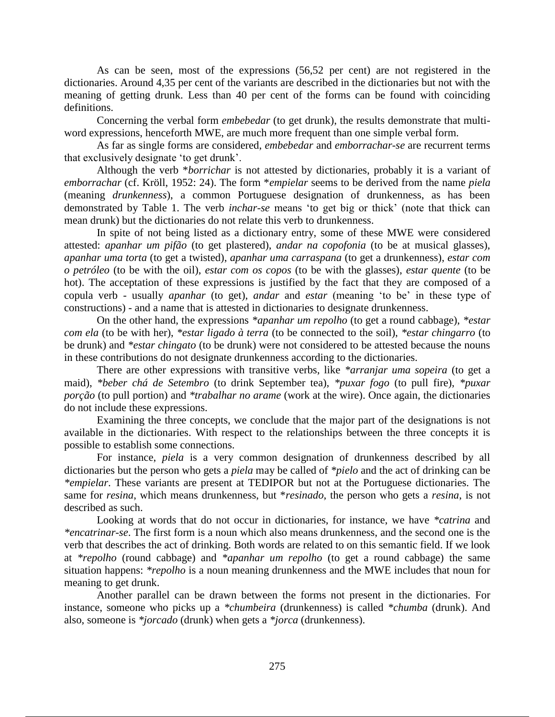As can be seen, most of the expressions (56,52 per cent) are not registered in the dictionaries. Around 4,35 per cent of the variants are described in the dictionaries but not with the meaning of getting drunk. Less than 40 per cent of the forms can be found with coinciding definitions.

Concerning the verbal form *embebedar* (to get drunk), the results demonstrate that multiword expressions, henceforth MWE, are much more frequent than one simple verbal form.

As far as single forms are considered, *embebedar* and *emborrachar*-*se* are recurrent terms that exclusively designate 'to get drunk'.

Although the verb \**borrichar* is not attested by dictionaries, probably it is a variant of *emborrachar* (cf. Kröll, 1952: 24). The form \**empielar* seems to be derived from the name *piela*  (meaning *drunkenness*), a common Portuguese designation of drunkenness, as has been demonstrated by Table 1. The verb *inchar-se* means 'to get big or thick' (note that thick can mean drunk) but the dictionaries do not relate this verb to drunkenness.

In spite of not being listed as a dictionary entry, some of these MWE were considered attested: *apanhar um pifão* (to get plastered), *andar na copofonia* (to be at musical glasses), *apanhar uma torta* (to get a twisted), *apanhar uma carraspana* (to get a drunkenness), *estar com o petróleo* (to be with the oil), *estar com os copos* (to be with the glasses), *estar quente* (to be hot). The acceptation of these expressions is justified by the fact that they are composed of a copula verb - usually *apanhar* (to get), *andar* and *estar* (meaning 'to be' in these type of constructions) - and a name that is attested in dictionaries to designate drunkenness.

On the other hand, the expressions *\*apanhar um repolho* (to get a round cabbage), *\*estar com ela* (to be with her), *\*estar ligado à terra* (to be connected to the soil), *\*estar chingarro* (to be drunk) and *\*estar chingato* (to be drunk) were not considered to be attested because the nouns in these contributions do not designate drunkenness according to the dictionaries.

There are other expressions with transitive verbs, like *\*arranjar uma sopeira* (to get a maid), *\*beber chá de Setembro* (to drink September tea), *\*puxar fogo* (to pull fire), *\*puxar porção* (to pull portion) and *\*trabalhar no arame* (work at the wire). Once again, the dictionaries do not include these expressions.

Examining the three concepts, we conclude that the major part of the designations is not available in the dictionaries. With respect to the relationships between the three concepts it is possible to establish some connections.

For instance, *piela* is a very common designation of drunkenness described by all dictionaries but the person who gets a *piela* may be called of *\*pielo* and the act of drinking can be *\*empielar*. These variants are present at TEDIPOR but not at the Portuguese dictionaries. The same for *resina*, which means drunkenness, but \**resinado*, the person who gets a *resina*, is not described as such.

Looking at words that do not occur in dictionaries, for instance, we have *\*catrina* and *\*encatrinar-se*. The first form is a noun which also means drunkenness, and the second one is the verb that describes the act of drinking. Both words are related to on this semantic field. If we look at *\*repolho* (round cabbage) and *\*apanhar um repolho* (to get a round cabbage) the same situation happens: *\*repolho* is a noun meaning drunkenness and the MWE includes that noun for meaning to get drunk.

Another parallel can be drawn between the forms not present in the dictionaries. For instance, someone who picks up a *\*chumbeira* (drunkenness) is called *\*chumba* (drunk). And also, someone is *\*jorcado* (drunk) when gets a *\*jorca* (drunkenness).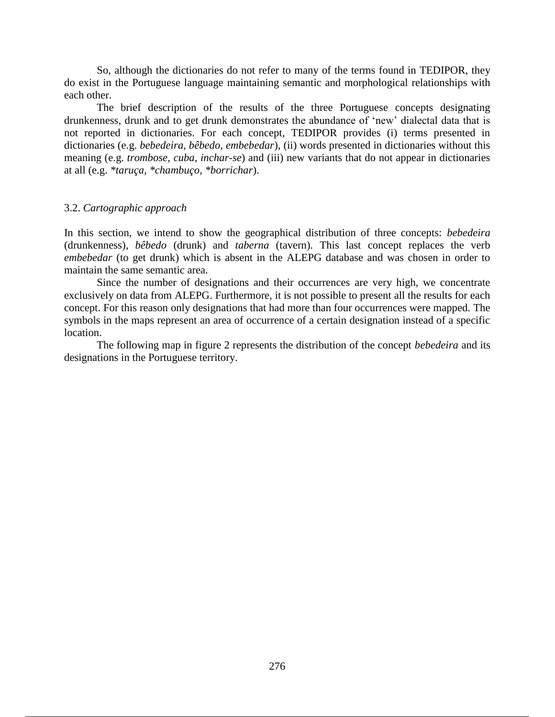So, although the dictionaries do not refer to many of the terms found in TEDIPOR, they do exist in the Portuguese language maintaining semantic and morphological relationships with each other.

The brief description of the results of the three Portuguese concepts designating drunkenness, drunk and to get drunk demonstrates the abundance of 'new' dialectal data that is not reported in dictionaries. For each concept, TEDIPOR provides (i) terms presented in dictionaries (e.g. *bebedeira, bêbedo, embebedar*), (ii) words presented in dictionaries without this meaning (e.g. *trombose, cuba, inchar-se*) and (iii) new variants that do not appear in dictionaries at all (e.g. *\*taruça, \*chambuço, \*borrichar*).

## 3.2. *Cartographic approach*

In this section, we intend to show the geographical distribution of three concepts: *bebedeira*  (drunkenness), *bêbedo* (drunk) and *taberna* (tavern). This last concept replaces the verb *embebedar* (to get drunk) which is absent in the ALEPG database and was chosen in order to maintain the same semantic area.

Since the number of designations and their occurrences are very high, we concentrate exclusively on data from ALEPG. Furthermore, it is not possible to present all the results for each concept. For this reason only designations that had more than four occurrences were mapped. The symbols in the maps represent an area of occurrence of a certain designation instead of a specific location.

The following map in figure 2 represents the distribution of the concept *bebedeira* and its designations in the Portuguese territory.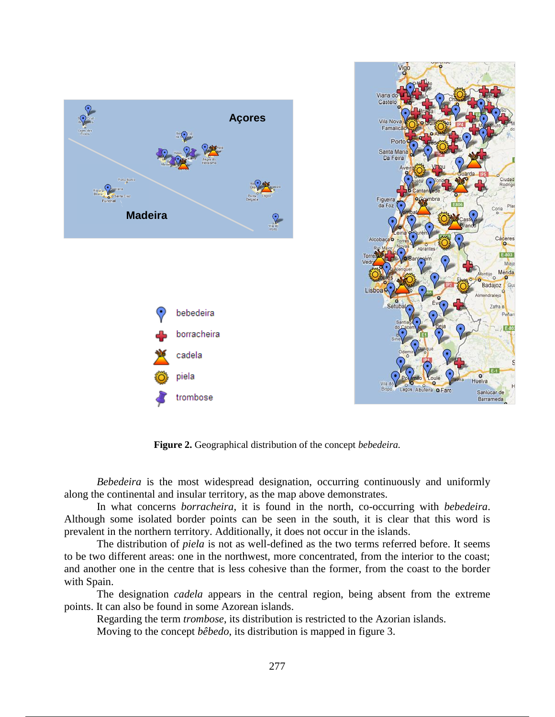

**Figure 2.** Geographical distribution of the concept *bebedeira.*

*Bebedeira* is the most widespread designation, occurring continuously and uniformly along the continental and insular territory, as the map above demonstrates.

In what concerns *borracheira*, it is found in the north, co-occurring with *bebedeira*. Although some isolated border points can be seen in the south, it is clear that this word is prevalent in the northern territory. Additionally, it does not occur in the islands.

The distribution of *piela* is not as well-defined as the two terms referred before. It seems to be two different areas: one in the northwest, more concentrated, from the interior to the coast; and another one in the centre that is less cohesive than the former, from the coast to the border with Spain.

The designation *cadela* appears in the central region, being absent from the extreme points. It can also be found in some Azorean islands.

Regarding the term *trombose*, its distribution is restricted to the Azorian islands. Moving to the concept *bêbedo*, its distribution is mapped in figure 3.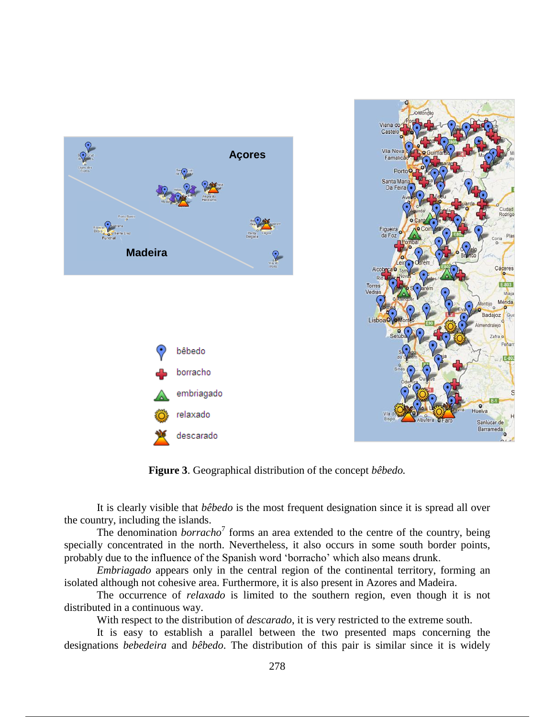

**Figure 3**. Geographical distribution of the concept *bêbedo.*

It is clearly visible that *bêbedo* is the most frequent designation since it is spread all over the country, including the islands.

The denomination *borracho*<sup>7</sup> forms an area extended to the centre of the country, being specially concentrated in the north. Nevertheless, it also occurs in some south border points, probably due to the influence of the Spanish word 'borracho' which also means drunk.

*Embriagado* appears only in the central region of the continental territory, forming an isolated although not cohesive area. Furthermore, it is also present in Azores and Madeira.

The occurrence of *relaxado* is limited to the southern region, even though it is not distributed in a continuous way.

With respect to the distribution of *descarado*, it is very restricted to the extreme south.

It is easy to establish a parallel between the two presented maps concerning the designations *bebedeira* and *bêbedo*. The distribution of this pair is similar since it is widely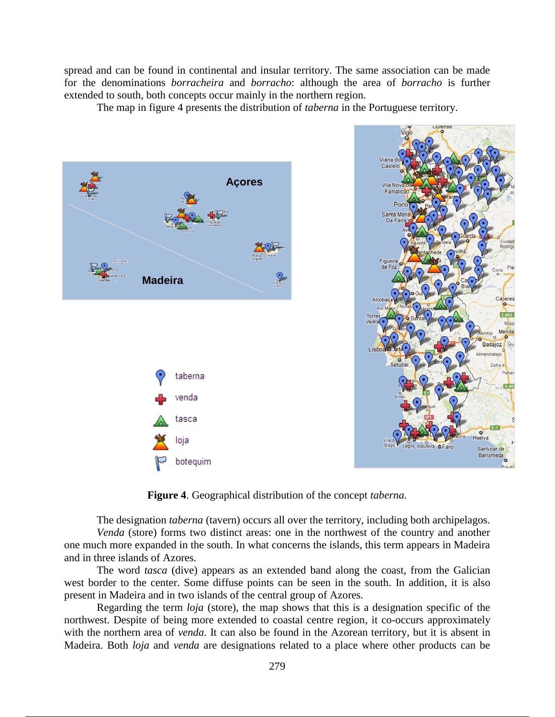spread and can be found in continental and insular territory. The same association can be made for the denominations *borracheira* and *borracho*: although the area of *borracho* is further extended to south, both concepts occur mainly in the northern region.

The map in figure 4 presents the distribution of *taberna* in the Portuguese territory.



**Figure 4**. Geographical distribution of the concept *taberna.*

The designation *taberna* (tavern) occurs all over the territory, including both archipelagos. *Venda* (store) forms two distinct areas: one in the northwest of the country and another one much more expanded in the south. In what concerns the islands, this term appears in Madeira and in three islands of Azores.

The word *tasca* (dive) appears as an extended band along the coast, from the Galician west border to the center. Some diffuse points can be seen in the south. In addition, it is also present in Madeira and in two islands of the central group of Azores.

Regarding the term *loja* (store), the map shows that this is a designation specific of the northwest. Despite of being more extended to coastal centre region, it co-occurs approximately with the northern area of *venda*. It can also be found in the Azorean territory, but it is absent in Madeira. Both *loja* and *venda* are designations related to a place where other products can be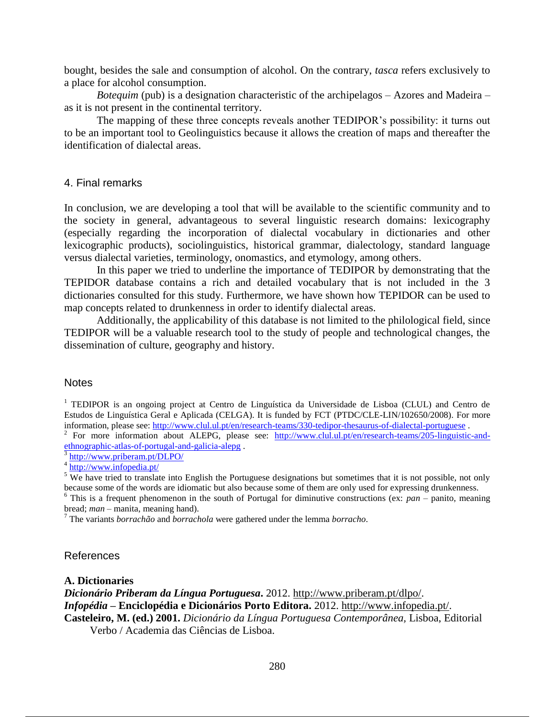bought, besides the sale and consumption of alcohol. On the contrary, *tasca* refers exclusively to a place for alcohol consumption.

*Botequim* (pub) is a designation characteristic of the archipelagos – Azores and Madeira – as it is not present in the continental territory.

The mapping of these three concepts reveals another TEDIPOR's possibility: it turns out to be an important tool to Geolinguistics because it allows the creation of maps and thereafter the identification of dialectal areas.

## 4. Final remarks

In conclusion, we are developing a tool that will be available to the scientific community and to the society in general, advantageous to several linguistic research domains: lexicography (especially regarding the incorporation of dialectal vocabulary in dictionaries and other lexicographic products), sociolinguistics, historical grammar, dialectology, standard language versus dialectal varieties, terminology, onomastics, and etymology, among others.

In this paper we tried to underline the importance of TEDIPOR by demonstrating that the TEPIDOR database contains a rich and detailed vocabulary that is not included in the 3 dictionaries consulted for this study. Furthermore, we have shown how TEPIDOR can be used to map concepts related to drunkenness in order to identify dialectal areas.

Additionally, the applicability of this database is not limited to the philological field, since TEDIPOR will be a valuable research tool to the study of people and technological changes, the dissemination of culture, geography and history.

## **Notes**

<sup>1</sup> TEDIPOR is an ongoing project at Centro de Linguística da Universidade de Lisboa (CLUL) and Centro de Estudos de Linguística Geral e Aplicada (CELGA). It is funded by FCT (PTDC/CLE-LIN/102650/2008). For more information, please see: http://www.clul.ul.pt/en/research-teams/330-tedipor-thesaurus-of-dialectal-portuguese<br><sup>2</sup> For more information about ALEPG, please see: http://www.clul.ul.pt/en/research-teams/205-linguistic-and-

ethnographic-atlas-of-portugal-and-galicia-alepg .<br>
<sup>3</sup> http://www.pribarom.nt/DLDO/

http://www.priberam.pt/DLPO/ <sup>4</sup> http://www.infopedia.pt/

 $<sup>5</sup>$  We have tried to translate into English the Portuguese designations but sometimes that it is not possible, not only</sup> because some of the words are idiomatic but also because some of them are only used for expressing drunkenness.

 $6$  This is a frequent phenomenon in the south of Portugal for diminutive constructions (ex: *pan* – panito, meaning bread; *man* – manita, meaning hand).

<sup>7</sup> The variants *borrachão* and *borrachola* were gathered under the lemma *borracho*.

## References

#### **A. Dictionaries**

*Dicionário Priberam da Língua Portuguesa***.** 2012. http://www.priberam.pt/dlpo/.

*Infopédia* **– Enciclopédia e Dicionários Porto Editora.** 2012. http://www.infopedia.pt/.

**Casteleiro, M. (ed.) 2001.** *Dicionário da Língua Portuguesa Contemporânea,* Lisboa, Editorial Verbo / Academia das Ciências de Lisboa.